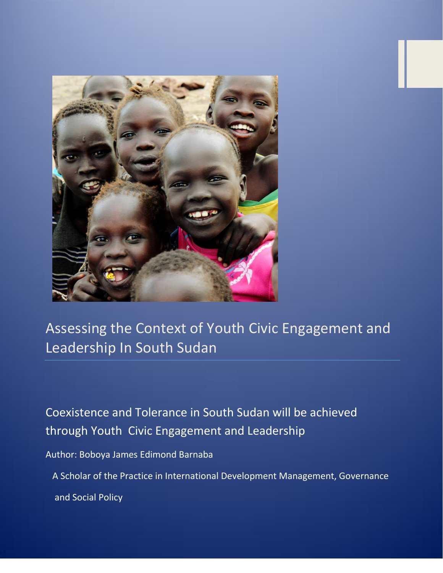

Assessing the Context of Youth Civic Engagement and Leadership In South Sudan

Coexistence and Tolerance in South Sudan will be achieved through Youth Civic Engagement and Leadership

Author: Boboya James Edimond Barnaba

 A Scholar of the Practice in International Development Management, Governance and Social Policy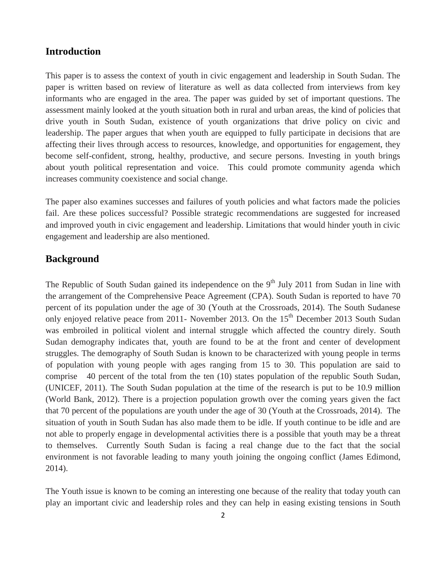### **Introduction**

This paper is to assess the context of youth in civic engagement and leadership in South Sudan. The paper is written based on review of literature as well as data collected from interviews from key informants who are engaged in the area. The paper was guided by set of important questions. The assessment mainly looked at the youth situation both in rural and urban areas, the kind of policies that drive youth in South Sudan, existence of youth organizations that drive policy on civic and leadership. The paper argues that when youth are equipped to fully participate in decisions that are affecting their lives through access to resources, knowledge, and opportunities for engagement, they become self-confident, strong, healthy, productive, and secure persons. Investing in youth brings about youth political representation and voice. This could promote community agenda which increases community coexistence and social change.

The paper also examines successes and failures of youth policies and what factors made the policies fail. Are these polices successful? Possible strategic recommendations are suggested for increased and improved youth in civic engagement and leadership. Limitations that would hinder youth in civic engagement and leadership are also mentioned.

### **Background**

The Republic of South Sudan gained its independence on the 9<sup>th</sup> July 2011 from Sudan in line with the arrangement of the Comprehensive Peace Agreement (CPA). South Sudan is reported to have 70 percent of its population under the age of 30 (Youth at the Crossroads, 2014). The South Sudanese only enjoyed relative peace from 2011- November 2013. On the 15<sup>th</sup> December 2013 South Sudan was embroiled in political violent and internal struggle which affected the country direly. South Sudan demography indicates that, youth are found to be at the front and center of development struggles. The demography of South Sudan is known to be characterized with young people in terms of population with young people with ages ranging from 15 to 30. This population are said to comprise 40 percent of the total from the ten (10) states population of the republic South Sudan, (UNICEF, 2011). The South Sudan population at the time of the research is put to be 10.9 million (World Bank, 2012). There is a projection population growth over the coming years given the fact that 70 percent of the populations are youth under the age of 30 (Youth at the Crossroads, 2014). The situation of youth in South Sudan has also made them to be idle. If youth continue to be idle and are not able to properly engage in developmental activities there is a possible that youth may be a threat to themselves. Currently South Sudan is facing a real change due to the fact that the social environment is not favorable leading to many youth joining the ongoing conflict (James Edimond, 2014).

The Youth issue is known to be coming an interesting one because of the reality that today youth can play an important civic and leadership roles and they can help in easing existing tensions in South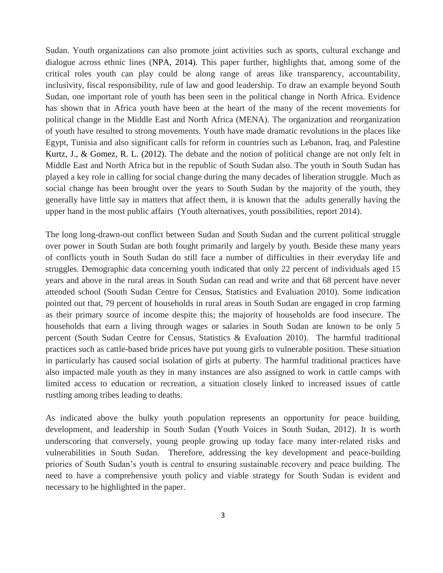Sudan. Youth organizations can also promote joint activities such as sports, cultural exchange and dialogue across ethnic lines (NPA, 2014). This paper further, highlights that, among some of the critical roles youth can play could be along range of areas like transparency, accountability, inclusivity, fiscal responsibility, rule of law and good leadership. To draw an example beyond South Sudan, one important role of youth has been seen in the political change in North Africa. Evidence has shown that in Africa youth have been at the heart of the many of the recent movements for political change in the Middle East and North Africa (MENA). The organization and reorganization of youth have resulted to strong movements. Youth have made dramatic revolutions in the places like Egypt, Tunisia and also significant calls for reform in countries such as Lebanon, Iraq, and Palestine Kurtz, J., & Gomez, R. L. (2012). The debate and the notion of political change are not only felt in Middle East and North Africa but in the republic of South Sudan also. The youth in South Sudan has played a key role in calling for social change during the many decades of liberation struggle. Much as social change has been brought over the years to South Sudan by the majority of the youth, they generally have little say in matters that affect them, it is known that the adults generally having the upper hand in the most public affairs (Youth alternatives, youth possibilities, report 2014).

The long long-drawn-out conflict between Sudan and South Sudan and the current political struggle over power in South Sudan are both fought primarily and largely by youth. Beside these many years of conflicts youth in South Sudan do still face a number of difficulties in their everyday life and struggles. Demographic data concerning youth indicated that only 22 percent of individuals aged 15 years and above in the rural areas in South Sudan can read and write and that 68 percent have never attended school (South Sudan Centre for Census, Statistics and Evaluation 2010). Some indication pointed out that, 79 percent of households in rural areas in South Sudan are engaged in crop farming as their primary source of income despite this; the majority of households are food insecure. The households that earn a living through wages or salaries in South Sudan are known to be only 5 percent (South Sudan Centre for Census, Statistics & Evaluation 2010). The harmful traditional practices such as cattle-based bride prices have put young girls to vulnerable position. These situation in particularly has caused social isolation of girls at puberty. The harmful traditional practices have also impacted male youth as they in many instances are also assigned to work in cattle camps with limited access to education or recreation, a situation closely linked to increased issues of cattle rustling among tribes leading to deaths.

As indicated above the bulky youth population represents an opportunity for peace building, development, and leadership in South Sudan (Youth Voices in South Sudan, 2012). It is worth underscoring that conversely, young people growing up today face many inter-related risks and vulnerabilities in South Sudan. Therefore, addressing the key development and peace-building priories of South Sudan's youth is central to ensuring sustainable recovery and peace building. The need to have a comprehensive youth policy and viable strategy for South Sudan is evident and necessary to be highlighted in the paper.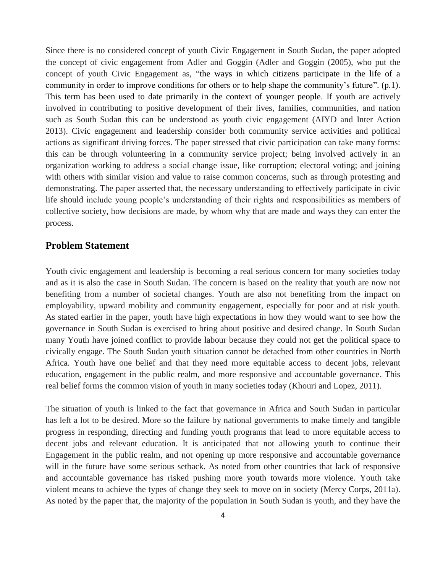Since there is no considered concept of youth Civic Engagement in South Sudan, the paper adopted the concept of civic engagement from Adler and Goggin (Adler and Goggin (2005), who put the concept of youth Civic Engagement as, "the ways in which citizens participate in the life of a community in order to improve conditions for others or to help shape the community's future". (p.1). This term has been used to date primarily in the context of younger people. If youth are actively involved in contributing to positive development of their lives, families, communities, and nation such as South Sudan this can be understood as youth civic engagement (AIYD and Inter Action 2013). Civic engagement and leadership consider both community service activities and political actions as significant driving forces. The paper stressed that civic participation can take many forms: this can be through volunteering in a community service project; being involved actively in an organization working to address a social change issue, like corruption; electoral voting; and joining with others with similar vision and value to raise common concerns, such as through protesting and demonstrating. The paper asserted that, the necessary understanding to effectively participate in civic life should include young people's understanding of their rights and responsibilities as members of collective society, how decisions are made, by whom why that are made and ways they can enter the process.

#### **Problem Statement**

Youth civic engagement and leadership is becoming a real serious concern for many societies today and as it is also the case in South Sudan. The concern is based on the reality that youth are now not benefiting from a number of societal changes. Youth are also not benefiting from the impact on employability, upward mobility and community engagement, especially for poor and at risk youth. As stated earlier in the paper, youth have high expectations in how they would want to see how the governance in South Sudan is exercised to bring about positive and desired change. In South Sudan many Youth have joined conflict to provide labour because they could not get the political space to civically engage. The South Sudan youth situation cannot be detached from other countries in North Africa. Youth have one belief and that they need more equitable access to decent jobs, relevant education, engagement in the public realm, and more responsive and accountable governance. This real belief forms the common vision of youth in many societies today (Khouri and Lopez, 2011).

The situation of youth is linked to the fact that governance in Africa and South Sudan in particular has left a lot to be desired. More so the failure by national governments to make timely and tangible progress in responding, directing and funding youth programs that lead to more equitable access to decent jobs and relevant education. It is anticipated that not allowing youth to continue their Engagement in the public realm, and not opening up more responsive and accountable governance will in the future have some serious setback. As noted from other countries that lack of responsive and accountable governance has risked pushing more youth towards more violence. Youth take violent means to achieve the types of change they seek to move on in society (Mercy Corps, 2011a). As noted by the paper that, the majority of the population in South Sudan is youth, and they have the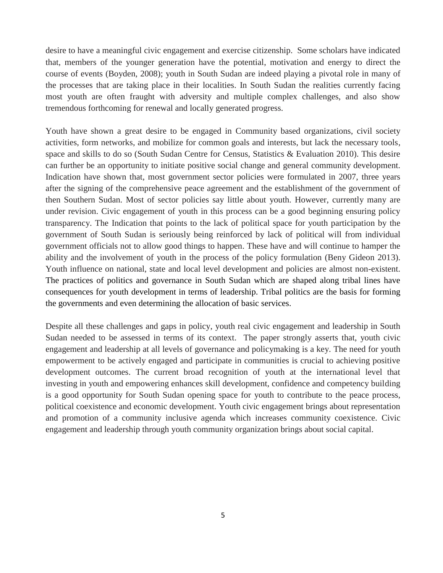desire to have a meaningful civic engagement and exercise citizenship. Some scholars have indicated that, members of the younger generation have the potential, motivation and energy to direct the course of events (Boyden, 2008); youth in South Sudan are indeed playing a pivotal role in many of the processes that are taking place in their localities. In South Sudan the realities currently facing most youth are often fraught with adversity and multiple complex challenges, and also show tremendous forthcoming for renewal and locally generated progress.

Youth have shown a great desire to be engaged in Community based organizations, civil society activities, form networks, and mobilize for common goals and interests, but lack the necessary tools, space and skills to do so (South Sudan Centre for Census, Statistics & Evaluation 2010). This desire can further be an opportunity to initiate positive social change and general community development. Indication have shown that, most government sector policies were formulated in 2007, three years after the signing of the comprehensive peace agreement and the establishment of the government of then Southern Sudan. Most of sector policies say little about youth. However, currently many are under revision. Civic engagement of youth in this process can be a good beginning ensuring policy transparency. The Indication that points to the lack of political space for youth participation by the government of South Sudan is seriously being reinforced by lack of political will from individual government officials not to allow good things to happen. These have and will continue to hamper the ability and the involvement of youth in the process of the policy formulation (Beny Gideon 2013). Youth influence on national, state and local level development and policies are almost non-existent. The practices of politics and governance in South Sudan which are shaped along tribal lines have consequences for youth development in terms of leadership. Tribal politics are the basis for forming the governments and even determining the allocation of basic services.

Despite all these challenges and gaps in policy, youth real civic engagement and leadership in South Sudan needed to be assessed in terms of its context. The paper strongly asserts that, youth civic engagement and leadership at all levels of governance and policymaking is a key. The need for youth empowerment to be actively engaged and participate in communities is crucial to achieving positive development outcomes. The current broad recognition of youth at the international level that investing in youth and empowering enhances skill development, confidence and competency building is a good opportunity for South Sudan opening space for youth to contribute to the peace process, political coexistence and economic development. Youth civic engagement brings about representation and promotion of a community inclusive agenda which increases community coexistence. Civic engagement and leadership through youth community organization brings about social capital.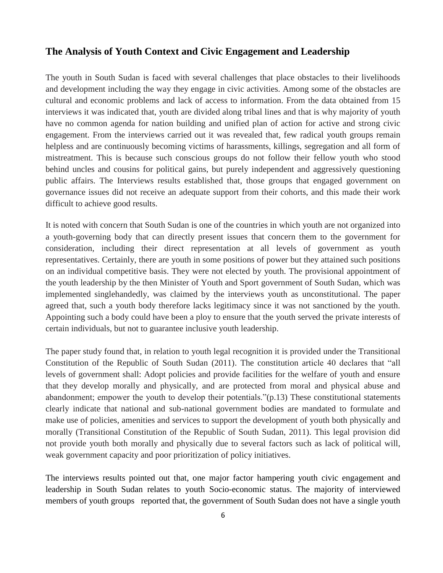#### **The Analysis of Youth Context and Civic Engagement and Leadership**

The youth in South Sudan is faced with several challenges that place obstacles to their livelihoods and development including the way they engage in civic activities. Among some of the obstacles are cultural and economic problems and lack of access to information. From the data obtained from 15 interviews it was indicated that, youth are divided along tribal lines and that is why majority of youth have no common agenda for nation building and unified plan of action for active and strong civic engagement. From the interviews carried out it was revealed that, few radical youth groups remain helpless and are continuously becoming victims of harassments, killings, segregation and all form of mistreatment. This is because such conscious groups do not follow their fellow youth who stood behind uncles and cousins for political gains, but purely independent and aggressively questioning public affairs. The Interviews results established that, those groups that engaged government on governance issues did not receive an adequate support from their cohorts, and this made their work difficult to achieve good results.

It is noted with concern that South Sudan is one of the countries in which youth are not organized into a youth-governing body that can directly present issues that concern them to the government for consideration, including their direct representation at all levels of government as youth representatives. Certainly, there are youth in some positions of power but they attained such positions on an individual competitive basis. They were not elected by youth. The provisional appointment of the youth leadership by the then Minister of Youth and Sport government of South Sudan, which was implemented singlehandedly, was claimed by the interviews youth as unconstitutional. The paper agreed that, such a youth body therefore lacks legitimacy since it was not sanctioned by the youth. Appointing such a body could have been a ploy to ensure that the youth served the private interests of certain individuals, but not to guarantee inclusive youth leadership.

The paper study found that, in relation to youth legal recognition it is provided under the Transitional Constitution of the Republic of South Sudan (2011). The constitution article 40 declares that "all levels of government shall: Adopt policies and provide facilities for the welfare of youth and ensure that they develop morally and physically, and are protected from moral and physical abuse and abandonment; empower the youth to develop their potentials."(p.13) These constitutional statements clearly indicate that national and sub-national government bodies are mandated to formulate and make use of policies, amenities and services to support the development of youth both physically and morally (Transitional Constitution of the Republic of South Sudan, 2011). This legal provision did not provide youth both morally and physically due to several factors such as lack of political will, weak government capacity and poor prioritization of policy initiatives.

The interviews results pointed out that, one major factor hampering youth civic engagement and leadership in South Sudan relates to youth Socio-economic status. The majority of interviewed members of youth groups reported that, the government of South Sudan does not have a single youth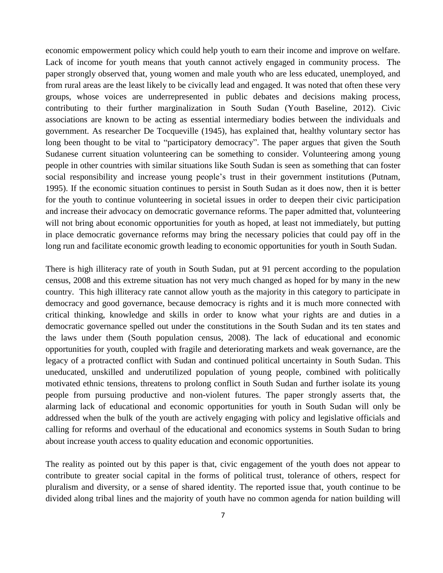economic empowerment policy which could help youth to earn their income and improve on welfare. Lack of income for youth means that youth cannot actively engaged in community process. The paper strongly observed that, young women and male youth who are less educated, unemployed, and from rural areas are the least likely to be civically lead and engaged. It was noted that often these very groups, whose voices are underrepresented in public debates and decisions making process, contributing to their further marginalization in South Sudan (Youth Baseline, 2012). Civic associations are known to be acting as essential intermediary bodies between the individuals and government. As researcher De Tocqueville (1945), has explained that, healthy voluntary sector has long been thought to be vital to "participatory democracy". The paper argues that given the South Sudanese current situation volunteering can be something to consider. Volunteering among young people in other countries with similar situations like South Sudan is seen as something that can foster social responsibility and increase young people's trust in their government institutions (Putnam, 1995). If the economic situation continues to persist in South Sudan as it does now, then it is better for the youth to continue volunteering in societal issues in order to deepen their civic participation and increase their advocacy on democratic governance reforms. The paper admitted that, volunteering will not bring about economic opportunities for youth as hoped, at least not immediately, but putting in place democratic governance reforms may bring the necessary policies that could pay off in the long run and facilitate economic growth leading to economic opportunities for youth in South Sudan.

There is high illiteracy rate of youth in South Sudan, put at 91 percent according to the population census, 2008 and this extreme situation has not very much changed as hoped for by many in the new country. This high illiteracy rate cannot allow youth as the majority in this category to participate in democracy and good governance, because democracy is rights and it is much more connected with critical thinking, knowledge and skills in order to know what your rights are and duties in a democratic governance spelled out under the constitutions in the South Sudan and its ten states and the laws under them (South population census, 2008). The lack of educational and economic opportunities for youth, coupled with fragile and deteriorating markets and weak governance, are the legacy of a protracted conflict with Sudan and continued political uncertainty in South Sudan. This uneducated, unskilled and underutilized population of young people, combined with politically motivated ethnic tensions, threatens to prolong conflict in South Sudan and further isolate its young people from pursuing productive and non-violent futures. The paper strongly asserts that, the alarming lack of educational and economic opportunities for youth in South Sudan will only be addressed when the bulk of the youth are actively engaging with policy and legislative officials and calling for reforms and overhaul of the educational and economics systems in South Sudan to bring about increase youth access to quality education and economic opportunities.

The reality as pointed out by this paper is that, civic engagement of the youth does not appear to contribute to greater social capital in the forms of political trust, tolerance of others, respect for pluralism and diversity, or a sense of shared identity. The reported issue that, youth continue to be divided along tribal lines and the majority of youth have no common agenda for nation building will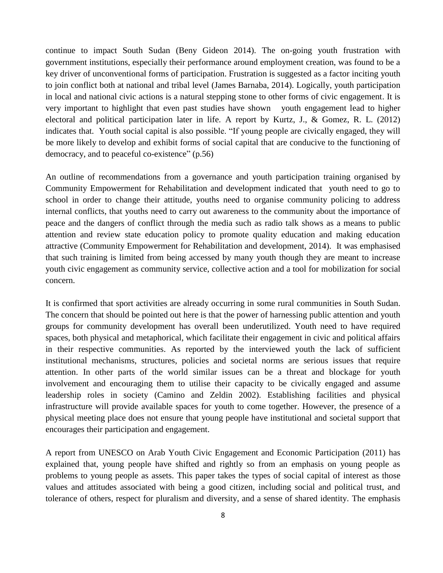continue to impact South Sudan (Beny Gideon 2014). The on-going youth frustration with government institutions, especially their performance around employment creation, was found to be a key driver of unconventional forms of participation. Frustration is suggested as a factor inciting youth to join conflict both at national and tribal level (James Barnaba, 2014). Logically, youth participation in local and national civic actions is a natural stepping stone to other forms of civic engagement. It is very important to highlight that even past studies have shown youth engagement lead to higher electoral and political participation later in life. A report by Kurtz, J., & Gomez, R. L. (2012) indicates that. Youth social capital is also possible. "If young people are civically engaged, they will be more likely to develop and exhibit forms of social capital that are conducive to the functioning of democracy, and to peaceful co-existence" (p.56)

An outline of recommendations from a governance and youth participation training organised by Community Empowerment for Rehabilitation and development indicated that youth need to go to school in order to change their attitude, youths need to organise community policing to address internal conflicts, that youths need to carry out awareness to the community about the importance of peace and the dangers of conflict through the media such as radio talk shows as a means to public attention and review state education policy to promote quality education and making education attractive (Community Empowerment for Rehabilitation and development, 2014). It was emphasised that such training is limited from being accessed by many youth though they are meant to increase youth civic engagement as community service, collective action and a tool for mobilization for social concern.

It is confirmed that sport activities are already occurring in some rural communities in South Sudan. The concern that should be pointed out here is that the power of harnessing public attention and youth groups for community development has overall been underutilized. Youth need to have required spaces, both physical and metaphorical, which facilitate their engagement in civic and political affairs in their respective communities. As reported by the interviewed youth the lack of sufficient institutional mechanisms, structures, policies and societal norms are serious issues that require attention. In other parts of the world similar issues can be a threat and blockage for youth involvement and encouraging them to utilise their capacity to be civically engaged and assume leadership roles in society (Camino and Zeldin 2002). Establishing facilities and physical infrastructure will provide available spaces for youth to come together. However, the presence of a physical meeting place does not ensure that young people have institutional and societal support that encourages their participation and engagement.

A report from UNESCO on Arab Youth Civic Engagement and Economic Participation (2011) has explained that, young people have shifted and rightly so from an emphasis on young people as problems to young people as assets. This paper takes the types of social capital of interest as those values and attitudes associated with being a good citizen, including social and political trust, and tolerance of others, respect for pluralism and diversity, and a sense of shared identity. The emphasis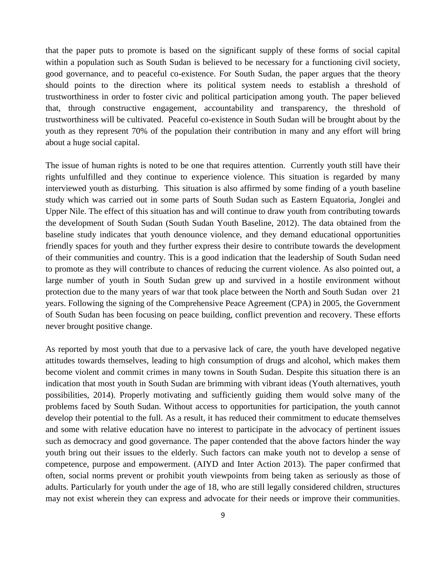that the paper puts to promote is based on the significant supply of these forms of social capital within a population such as South Sudan is believed to be necessary for a functioning civil society, good governance, and to peaceful co-existence. For South Sudan, the paper argues that the theory should points to the direction where its political system needs to establish a threshold of trustworthiness in order to foster civic and political participation among youth. The paper believed that, through constructive engagement, accountability and transparency, the threshold of trustworthiness will be cultivated. Peaceful co-existence in South Sudan will be brought about by the youth as they represent 70% of the population their contribution in many and any effort will bring about a huge social capital.

The issue of human rights is noted to be one that requires attention. Currently youth still have their rights unfulfilled and they continue to experience violence. This situation is regarded by many interviewed youth as disturbing. This situation is also affirmed by some finding of a youth baseline study which was carried out in some parts of South Sudan such as Eastern Equatoria, Jonglei and Upper Nile. The effect of this situation has and will continue to draw youth from contributing towards the development of South Sudan (South Sudan Youth Baseline, 2012). The data obtained from the baseline study indicates that youth denounce violence, and they demand educational opportunities friendly spaces for youth and they further express their desire to contribute towards the development of their communities and country. This is a good indication that the leadership of South Sudan need to promote as they will contribute to chances of reducing the current violence. As also pointed out, a large number of youth in South Sudan grew up and survived in a hostile environment without protection due to the many years of war that took place between the North and South Sudan over 21 years. Following the signing of the Comprehensive Peace Agreement (CPA) in 2005, the Government of South Sudan has been focusing on peace building, conflict prevention and recovery. These efforts never brought positive change.

As reported by most youth that due to a pervasive lack of care, the youth have developed negative attitudes towards themselves, leading to high consumption of drugs and alcohol, which makes them become violent and commit crimes in many towns in South Sudan. Despite this situation there is an indication that most youth in South Sudan are brimming with vibrant ideas (Youth alternatives, youth possibilities, 2014). Properly motivating and sufficiently guiding them would solve many of the problems faced by South Sudan. Without access to opportunities for participation, the youth cannot develop their potential to the full. As a result, it has reduced their commitment to educate themselves and some with relative education have no interest to participate in the advocacy of pertinent issues such as democracy and good governance. The paper contended that the above factors hinder the way youth bring out their issues to the elderly. Such factors can make youth not to develop a sense of competence, purpose and empowerment. (AIYD and Inter Action 2013). The paper confirmed that often, social norms prevent or prohibit youth viewpoints from being taken as seriously as those of adults. Particularly for youth under the age of 18, who are still legally considered children, structures may not exist wherein they can express and advocate for their needs or improve their communities.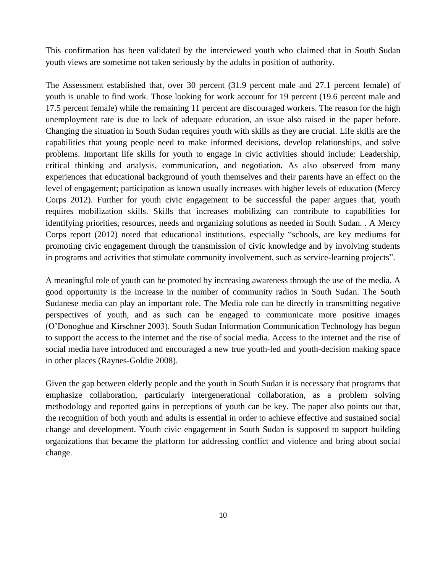This confirmation has been validated by the interviewed youth who claimed that in South Sudan youth views are sometime not taken seriously by the adults in position of authority.

The Assessment established that, over 30 percent (31.9 percent male and 27.1 percent female) of youth is unable to find work. Those looking for work account for 19 percent (19.6 percent male and 17.5 percent female) while the remaining 11 percent are discouraged workers. The reason for the high unemployment rate is due to lack of adequate education, an issue also raised in the paper before. Changing the situation in South Sudan requires youth with skills as they are crucial. Life skills are the capabilities that young people need to make informed decisions, develop relationships, and solve problems. Important life skills for youth to engage in civic activities should include: Leadership, critical thinking and analysis, communication, and negotiation. As also observed from many experiences that educational background of youth themselves and their parents have an effect on the level of engagement; participation as known usually increases with higher levels of education (Mercy Corps 2012). Further for youth civic engagement to be successful the paper argues that, youth requires mobilization skills. Skills that increases mobilizing can contribute to capabilities for identifying priorities, resources, needs and organizing solutions as needed in South Sudan. . A Mercy Corps report (2012) noted that educational institutions, especially "schools, are key mediums for promoting civic engagement through the transmission of civic knowledge and by involving students in programs and activities that stimulate community involvement, such as service-learning projects".

A meaningful role of youth can be promoted by increasing awareness through the use of the media. A good opportunity is the increase in the number of community radios in South Sudan. The South Sudanese media can play an important role. The Media role can be directly in transmitting negative perspectives of youth, and as such can be engaged to communicate more positive images (O'Donoghue and Kirschner 2003). South Sudan Information Communication Technology has begun to support the access to the internet and the rise of social media. Access to the internet and the rise of social media have introduced and encouraged a new true youth-led and youth-decision making space in other places (Raynes-Goldie 2008).

Given the gap between elderly people and the youth in South Sudan it is necessary that programs that emphasize collaboration, particularly intergenerational collaboration, as a problem solving methodology and reported gains in perceptions of youth can be key. The paper also points out that, the recognition of both youth and adults is essential in order to achieve effective and sustained social change and development. Youth civic engagement in South Sudan is supposed to support building organizations that became the platform for addressing conflict and violence and bring about social change.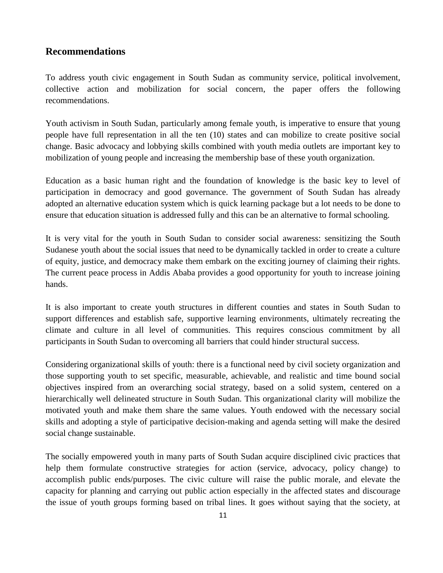#### **Recommendations**

To address youth civic engagement in South Sudan as community service, political involvement, collective action and mobilization for social concern, the paper offers the following recommendations.

Youth activism in South Sudan, particularly among female youth, is imperative to ensure that young people have full representation in all the ten (10) states and can mobilize to create positive social change. Basic advocacy and lobbying skills combined with youth media outlets are important key to mobilization of young people and increasing the membership base of these youth organization.

Education as a basic human right and the foundation of knowledge is the basic key to level of participation in democracy and good governance. The government of South Sudan has already adopted an alternative education system which is quick learning package but a lot needs to be done to ensure that education situation is addressed fully and this can be an alternative to formal schooling.

It is very vital for the youth in South Sudan to consider social awareness: sensitizing the South Sudanese youth about the social issues that need to be dynamically tackled in order to create a culture of equity, justice, and democracy make them embark on the exciting journey of claiming their rights. The current peace process in Addis Ababa provides a good opportunity for youth to increase joining hands.

It is also important to create youth structures in different counties and states in South Sudan to support differences and establish safe, supportive learning environments, ultimately recreating the climate and culture in all level of communities. This requires conscious commitment by all participants in South Sudan to overcoming all barriers that could hinder structural success.

Considering organizational skills of youth: there is a functional need by civil society organization and those supporting youth to set specific, measurable, achievable, and realistic and time bound social objectives inspired from an overarching social strategy, based on a solid system, centered on a hierarchically well delineated structure in South Sudan. This organizational clarity will mobilize the motivated youth and make them share the same values. Youth endowed with the necessary social skills and adopting a style of participative decision-making and agenda setting will make the desired social change sustainable.

The socially empowered youth in many parts of South Sudan acquire disciplined civic practices that help them formulate constructive strategies for action (service, advocacy, policy change) to accomplish public ends/purposes. The civic culture will raise the public morale, and elevate the capacity for planning and carrying out public action especially in the affected states and discourage the issue of youth groups forming based on tribal lines. It goes without saying that the society, at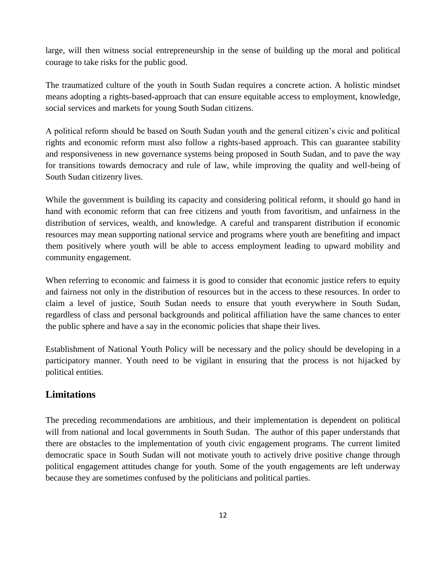large, will then witness social entrepreneurship in the sense of building up the moral and political courage to take risks for the public good.

The traumatized culture of the youth in South Sudan requires a concrete action. A holistic mindset means adopting a rights-based-approach that can ensure equitable access to employment, knowledge, social services and markets for young South Sudan citizens.

A political reform should be based on South Sudan youth and the general citizen's civic and political rights and economic reform must also follow a rights-based approach. This can guarantee stability and responsiveness in new governance systems being proposed in South Sudan, and to pave the way for transitions towards democracy and rule of law, while improving the quality and well-being of South Sudan citizenry lives.

While the government is building its capacity and considering political reform, it should go hand in hand with economic reform that can free citizens and youth from favoritism, and unfairness in the distribution of services, wealth, and knowledge. A careful and transparent distribution if economic resources may mean supporting national service and programs where youth are benefiting and impact them positively where youth will be able to access employment leading to upward mobility and community engagement.

When referring to economic and fairness it is good to consider that economic justice refers to equity and fairness not only in the distribution of resources but in the access to these resources. In order to claim a level of justice, South Sudan needs to ensure that youth everywhere in South Sudan, regardless of class and personal backgrounds and political affiliation have the same chances to enter the public sphere and have a say in the economic policies that shape their lives.

Establishment of National Youth Policy will be necessary and the policy should be developing in a participatory manner. Youth need to be vigilant in ensuring that the process is not hijacked by political entities.

# **Limitations**

The preceding recommendations are ambitious, and their implementation is dependent on political will from national and local governments in South Sudan. The author of this paper understands that there are obstacles to the implementation of youth civic engagement programs. The current limited democratic space in South Sudan will not motivate youth to actively drive positive change through political engagement attitudes change for youth. Some of the youth engagements are left underway because they are sometimes confused by the politicians and political parties.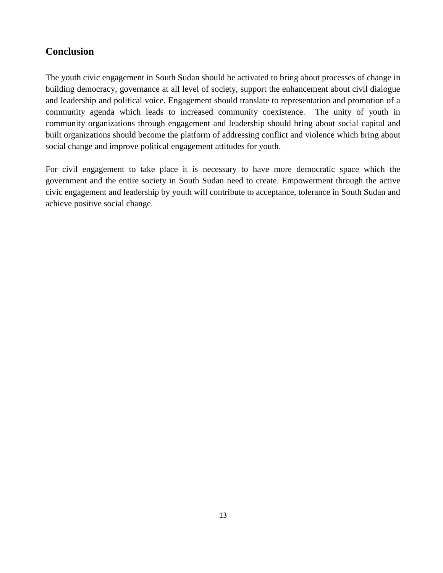## **Conclusion**

The youth civic engagement in South Sudan should be activated to bring about processes of change in building democracy, governance at all level of society, support the enhancement about civil dialogue and leadership and political voice. Engagement should translate to representation and promotion of a community agenda which leads to increased community coexistence. The unity of youth in community organizations through engagement and leadership should bring about social capital and built organizations should become the platform of addressing conflict and violence which bring about social change and improve political engagement attitudes for youth.

For civil engagement to take place it is necessary to have more democratic space which the government and the entire society in South Sudan need to create. Empowerment through the active civic engagement and leadership by youth will contribute to acceptance, tolerance in South Sudan and achieve positive social change.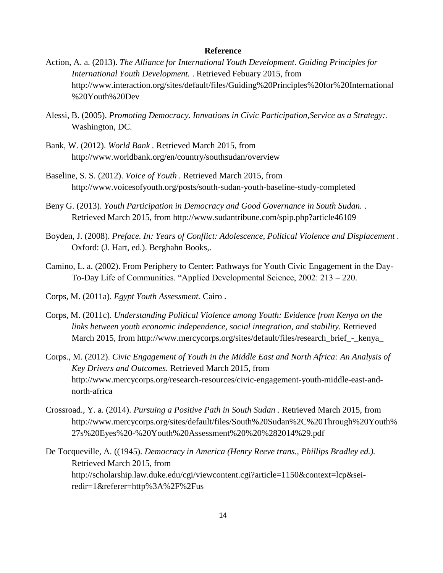#### **Reference**

- Action, A. a. (2013). *The Alliance for International Youth Development. Guiding Principles for International Youth Development.* . Retrieved Febuary 2015, from http://www.interaction.org/sites/default/files/Guiding%20Principles%20for%20International %20Youth%20Dev
- Alessi, B. (2005). *Promoting Democracy. Innvations in Civic Participation,Service as a Strategy:.* Washington, DC.
- Bank, W. (2012). *World Bank .* Retrieved March 2015, from http://www.worldbank.org/en/country/southsudan/overview
- Baseline, S. S. (2012). *Voice of Youth .* Retrieved March 2015, from http://www.voicesofyouth.org/posts/south-sudan-youth-baseline-study-completed
- Beny G. (2013). *Youth Participation in Democracy and Good Governance in South Sudan.* . Retrieved March 2015, from http://www.sudantribune.com/spip.php?article46109
- Boyden, J. (2008). *Preface. In: Years of Conflict: Adolescence, Political Violence and Displacement .* Oxford: (J. Hart, ed.). Berghahn Books,.
- Camino, L. a. (2002). From Periphery to Center: Pathways for Youth Civic Engagement in the Day-To-Day Life of Communities. "Applied Developmental Science, 2002: 213 – 220.
- Corps, M. (2011a). *Egypt Youth Assessment.* Cairo .
- Corps, M. (2011c). *Understanding Political Violence among Youth: Evidence from Kenya on the links between youth economic independence, social integration, and stability.* Retrieved March 2015, from http://www.mercycorps.org/sites/default/files/research\_brief\_-\_kenya\_
- Corps., M. (2012). *Civic Engagement of Youth in the Middle East and North Africa: An Analysis of Key Drivers and Outcomes.* Retrieved March 2015, from http://www.mercycorps.org/research-resources/civic-engagement-youth-middle-east-andnorth-africa
- Crossroad., Y. a. (2014). *Pursuing a Positive Path in South Sudan .* Retrieved March 2015, from http://www.mercycorps.org/sites/default/files/South%20Sudan%2C%20Through%20Youth% 27s%20Eyes%20-%20Youth%20Assessment%20%20%282014%29.pdf
- De Tocqueville, A. ((1945). *Democracy in America (Henry Reeve trans., Phillips Bradley ed.).* Retrieved March 2015, from http://scholarship.law.duke.edu/cgi/viewcontent.cgi?article=1150&context=lcp&seiredir=1&referer=http%3A%2F%2Fus